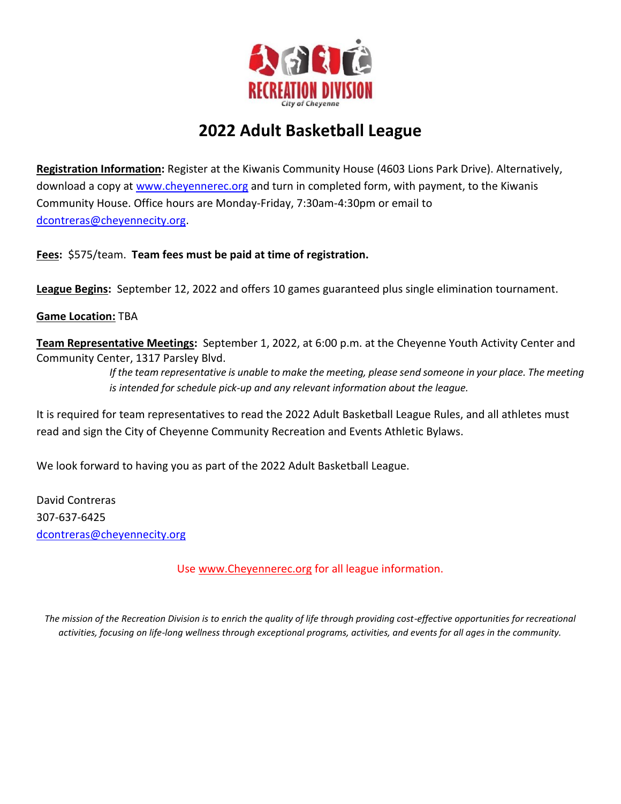

## **2022 Adult Basketball League**

**Registration Information:** Register at the Kiwanis Community House (4603 Lions Park Drive). Alternatively, download a copy at [www.cheyennerec.org](http://www.cheyennerec.org/) and turn in completed form, with payment, to the Kiwanis Community House. Office hours are Monday-Friday, 7:30am-4:30pm or email to [dcontreras@cheyennecity.org.](mailto:dcontreras@cheyennecity.org)

**Fees:** \$575/team. **Team fees must be paid at time of registration.**

**League Begins:** September 12, 2022 and offers 10 games guaranteed plus single elimination tournament.

**Game Location:** TBA

**Team Representative Meetings:** September 1, 2022, at 6:00 p.m. at the Cheyenne Youth Activity Center and Community Center, 1317 Parsley Blvd.

> *If the team representative is unable to make the meeting, please send someone in your place. The meeting is intended for schedule pick-up and any relevant information about the league.*

It is required for team representatives to read the 2022 Adult Basketball League Rules, and all athletes must read and sign the City of Cheyenne Community Recreation and Events Athletic Bylaws.

We look forward to having you as part of the 2022 Adult Basketball League.

David Contreras 307-637-6425 [dcontreras@cheyennecity.org](mailto:dcontreras@cheyennecity.org)

Use [www.Cheyennerec.](http://www.cheyennerec/)org for all league information.

*The mission of the Recreation Division is to enrich the quality of life through providing cost-effective opportunities for recreational activities, focusing on life-long wellness through exceptional programs, activities, and events for all ages in the community.*